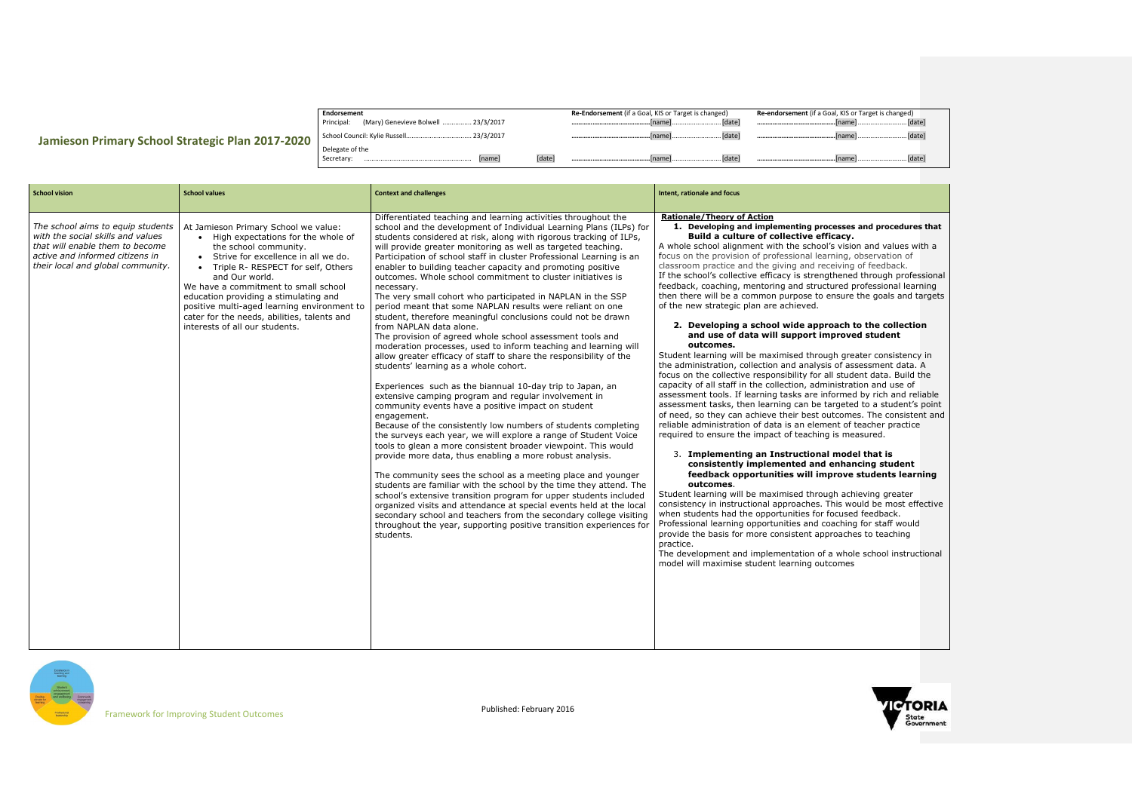|                                                  | Endorsement                                              | Re-Endorsement (if a Goal, KIS or Target is changed) | Re-endorsement (if a Goal, KIS or Target is changed) |
|--------------------------------------------------|----------------------------------------------------------|------------------------------------------------------|------------------------------------------------------|
| Jamieson Primary School Strategic Plan 2017-2020 | (Mary) Genevieve Bolwell  23/3/2017<br>Principal:        |                                                      |                                                      |
|                                                  |                                                          |                                                      |                                                      |
|                                                  | Delegate of the<br><b>Inamel</b><br>[date]<br>Secretary: |                                                      |                                                      |

## **2. Developing a school wide approach to the collection and student**

## el that is





| r Target is changed) |        |  |
|----------------------|--------|--|
|                      |        |  |
|                      |        |  |
|                      | [date] |  |

## **1. And procedures that**